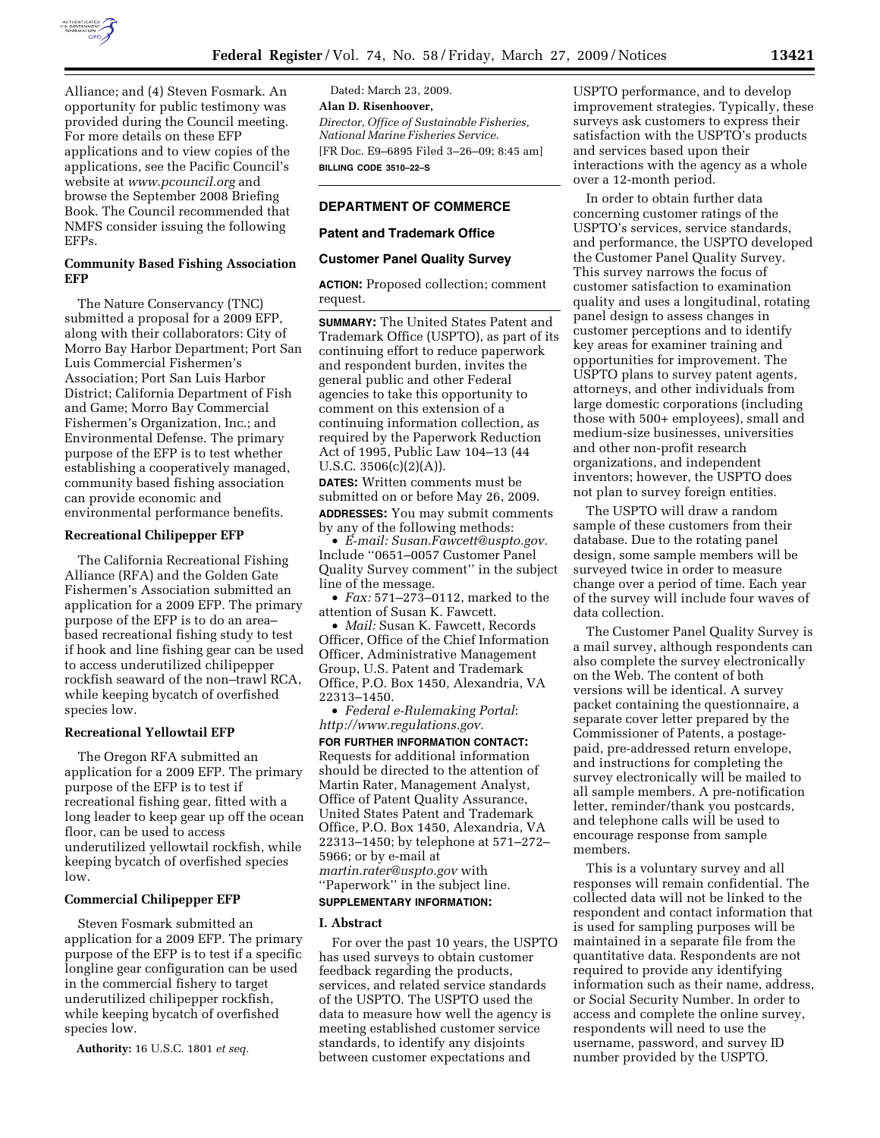

Alliance; and (4) Steven Fosmark. An opportunity for public testimony was provided during the Council meeting. For more details on these EFP applications and to view copies of the applications, see the Pacific Council's website at *www.pcouncil.org* and browse the September 2008 Briefing Book. The Council recommended that NMFS consider issuing the following EFPs.

#### **Community Based Fishing Association EFP**

The Nature Conservancy (TNC) submitted a proposal for a 2009 EFP, along with their collaborators: City of Morro Bay Harbor Department; Port San Luis Commercial Fishermen's Association; Port San Luis Harbor District; California Department of Fish and Game; Morro Bay Commercial Fishermen's Organization, Inc.; and Environmental Defense. The primary purpose of the EFP is to test whether establishing a cooperatively managed, community based fishing association can provide economic and environmental performance benefits.

# **Recreational Chilipepper EFP**

The California Recreational Fishing Alliance (RFA) and the Golden Gate Fishermen's Association submitted an application for a 2009 EFP. The primary purpose of the EFP is to do an area– based recreational fishing study to test if hook and line fishing gear can be used to access underutilized chilipepper rockfish seaward of the non–trawl RCA, while keeping bycatch of overfished species low.

#### **Recreational Yellowtail EFP**

The Oregon RFA submitted an application for a 2009 EFP. The primary purpose of the EFP is to test if recreational fishing gear, fitted with a long leader to keep gear up off the ocean floor, can be used to access underutilized yellowtail rockfish, while keeping bycatch of overfished species low.

## **Commercial Chilipepper EFP**

Steven Fosmark submitted an application for a 2009 EFP. The primary purpose of the EFP is to test if a specific longline gear configuration can be used in the commercial fishery to target underutilized chilipepper rockfish, while keeping bycatch of overfished species low.

**Authority:** 16 U.S.C. 1801 *et seq.* 

Dated: March 23, 2009. **Alan D. Risenhoover,**  *Director, Office of Sustainable Fisheries, National Marine Fisheries Service.*  [FR Doc. E9–6895 Filed 3–26–09; 8:45 am] **BILLING CODE 3510–22–S** 

## **DEPARTMENT OF COMMERCE**

#### **Patent and Trademark Office**

## **Customer Panel Quality Survey**

**ACTION:** Proposed collection; comment request.

**SUMMARY:** The United States Patent and Trademark Office (USPTO), as part of its continuing effort to reduce paperwork and respondent burden, invites the general public and other Federal agencies to take this opportunity to comment on this extension of a continuing information collection, as required by the Paperwork Reduction Act of 1995, Public Law 104–13 (44 U.S.C.  $3506(c)(2)(A)$ .

**DATES:** Written comments must be submitted on or before May 26, 2009.

**ADDRESSES:** You may submit comments by any of the following methods:

• *E-mail: Susan.Fawcett@uspto.gov.*  Include ''0651–0057 Customer Panel Quality Survey comment'' in the subject line of the message.

• *Fax:* 571–273–0112, marked to the attention of Susan K. Fawcett.

• *Mail:* Susan K. Fawcett, Records Officer, Office of the Chief Information Officer, Administrative Management Group, U.S. Patent and Trademark Office, P.O. Box 1450, Alexandria, VA 22313–1450.

• *Federal e-Rulemaking Portal*: *http://www.regulations.gov.* 

**FOR FURTHER INFORMATION CONTACT:**  Requests for additional information should be directed to the attention of Martin Rater, Management Analyst, Office of Patent Quality Assurance, United States Patent and Trademark Office, P.O. Box 1450, Alexandria, VA 22313–1450; by telephone at 571–272– 5966; or by e-mail at *martin.rater@uspto.gov* with ''Paperwork'' in the subject line. **SUPPLEMENTARY INFORMATION:** 

## **I. Abstract**

For over the past 10 years, the USPTO has used surveys to obtain customer feedback regarding the products, services, and related service standards of the USPTO. The USPTO used the data to measure how well the agency is meeting established customer service standards, to identify any disjoints between customer expectations and

USPTO performance, and to develop improvement strategies. Typically, these surveys ask customers to express their satisfaction with the USPTO's products and services based upon their interactions with the agency as a whole over a 12-month period.

In order to obtain further data concerning customer ratings of the USPTO's services, service standards, and performance, the USPTO developed the Customer Panel Quality Survey. This survey narrows the focus of customer satisfaction to examination quality and uses a longitudinal, rotating panel design to assess changes in customer perceptions and to identify key areas for examiner training and opportunities for improvement. The USPTO plans to survey patent agents, attorneys, and other individuals from large domestic corporations (including those with 500+ employees), small and medium-size businesses, universities and other non-profit research organizations, and independent inventors; however, the USPTO does not plan to survey foreign entities.

The USPTO will draw a random sample of these customers from their database. Due to the rotating panel design, some sample members will be surveyed twice in order to measure change over a period of time. Each year of the survey will include four waves of data collection.

The Customer Panel Quality Survey is a mail survey, although respondents can also complete the survey electronically on the Web. The content of both versions will be identical. A survey packet containing the questionnaire, a separate cover letter prepared by the Commissioner of Patents, a postagepaid, pre-addressed return envelope, and instructions for completing the survey electronically will be mailed to all sample members. A pre-notification letter, reminder/thank you postcards, and telephone calls will be used to encourage response from sample members.

This is a voluntary survey and all responses will remain confidential. The collected data will not be linked to the respondent and contact information that is used for sampling purposes will be maintained in a separate file from the quantitative data. Respondents are not required to provide any identifying information such as their name, address, or Social Security Number. In order to access and complete the online survey, respondents will need to use the username, password, and survey ID number provided by the USPTO.